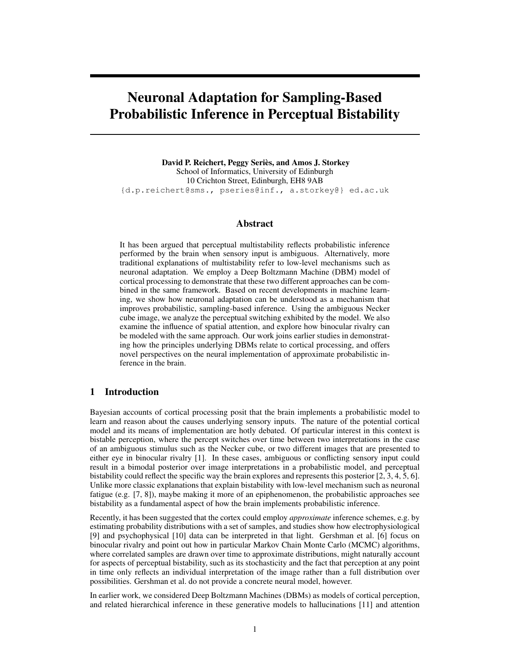# Neuronal Adaptation for Sampling-Based Probabilistic Inference in Perceptual Bistability

David P. Reichert, Peggy Seriès, and Amos J. Storkey School of Informatics, University of Edinburgh 10 Crichton Street, Edinburgh, EH8 9AB {d.p.reichert@sms., pseries@inf., a.storkey@} ed.ac.uk

## Abstract

It has been argued that perceptual multistability reflects probabilistic inference performed by the brain when sensory input is ambiguous. Alternatively, more traditional explanations of multistability refer to low-level mechanisms such as neuronal adaptation. We employ a Deep Boltzmann Machine (DBM) model of cortical processing to demonstrate that these two different approaches can be combined in the same framework. Based on recent developments in machine learning, we show how neuronal adaptation can be understood as a mechanism that improves probabilistic, sampling-based inference. Using the ambiguous Necker cube image, we analyze the perceptual switching exhibited by the model. We also examine the influence of spatial attention, and explore how binocular rivalry can be modeled with the same approach. Our work joins earlier studies in demonstrating how the principles underlying DBMs relate to cortical processing, and offers novel perspectives on the neural implementation of approximate probabilistic inference in the brain.

#### 1 Introduction

Bayesian accounts of cortical processing posit that the brain implements a probabilistic model to learn and reason about the causes underlying sensory inputs. The nature of the potential cortical model and its means of implementation are hotly debated. Of particular interest in this context is bistable perception, where the percept switches over time between two interpretations in the case of an ambiguous stimulus such as the Necker cube, or two different images that are presented to either eye in binocular rivalry [1]. In these cases, ambiguous or conflicting sensory input could result in a bimodal posterior over image interpretations in a probabilistic model, and perceptual bistability could reflect the specific way the brain explores and represents this posterior [2, 3, 4, 5, 6]. Unlike more classic explanations that explain bistability with low-level mechanism such as neuronal fatigue (e.g. [7, 8]), maybe making it more of an epiphenomenon, the probabilistic approaches see bistability as a fundamental aspect of how the brain implements probabilistic inference.

Recently, it has been suggested that the cortex could employ *approximate* inference schemes, e.g. by estimating probability distributions with a set of samples, and studies show how electrophysiological [9] and psychophysical [10] data can be interpreted in that light. Gershman et al. [6] focus on binocular rivalry and point out how in particular Markov Chain Monte Carlo (MCMC) algorithms, where correlated samples are drawn over time to approximate distributions, might naturally account for aspects of perceptual bistability, such as its stochasticity and the fact that perception at any point in time only reflects an individual interpretation of the image rather than a full distribution over possibilities. Gershman et al. do not provide a concrete neural model, however.

In earlier work, we considered Deep Boltzmann Machines (DBMs) as models of cortical perception, and related hierarchical inference in these generative models to hallucinations [11] and attention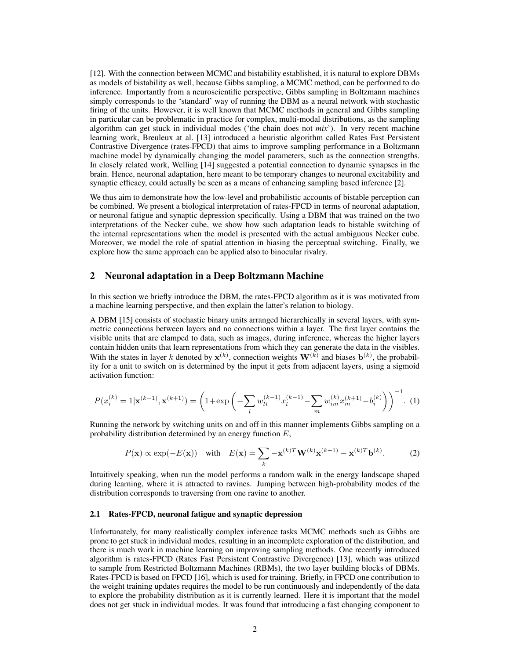[12]. With the connection between MCMC and bistability established, it is natural to explore DBMs as models of bistability as well, because Gibbs sampling, a MCMC method, can be performed to do inference. Importantly from a neuroscientific perspective, Gibbs sampling in Boltzmann machines simply corresponds to the 'standard' way of running the DBM as a neural network with stochastic firing of the units. However, it is well known that MCMC methods in general and Gibbs sampling in particular can be problematic in practice for complex, multi-modal distributions, as the sampling algorithm can get stuck in individual modes ('the chain does not *mix*'). In very recent machine learning work, Breuleux at al. [13] introduced a heuristic algorithm called Rates Fast Persistent Contrastive Divergence (rates-FPCD) that aims to improve sampling performance in a Boltzmann machine model by dynamically changing the model parameters, such as the connection strengths. In closely related work, Welling [14] suggested a potential connection to dynamic synapses in the brain. Hence, neuronal adaptation, here meant to be temporary changes to neuronal excitability and synaptic efficacy, could actually be seen as a means of enhancing sampling based inference [2].

We thus aim to demonstrate how the low-level and probabilistic accounts of bistable perception can be combined. We present a biological interpretation of rates-FPCD in terms of neuronal adaptation, or neuronal fatigue and synaptic depression specifically. Using a DBM that was trained on the two interpretations of the Necker cube, we show how such adaptation leads to bistable switching of the internal representations when the model is presented with the actual ambiguous Necker cube. Moreover, we model the role of spatial attention in biasing the perceptual switching. Finally, we explore how the same approach can be applied also to binocular rivalry.

#### 2 Neuronal adaptation in a Deep Boltzmann Machine

In this section we briefly introduce the DBM, the rates-FPCD algorithm as it is was motivated from a machine learning perspective, and then explain the latter's relation to biology.

A DBM [15] consists of stochastic binary units arranged hierarchically in several layers, with symmetric connections between layers and no connections within a layer. The first layer contains the visible units that are clamped to data, such as images, during inference, whereas the higher layers contain hidden units that learn representations from which they can generate the data in the visibles. With the states in layer k denoted by  $x^{(k)}$ , connection weights  $W^{(k)}$  and biases  $b^{(k)}$ , the probability for a unit to switch on is determined by the input it gets from adjacent layers, using a sigmoid activation function:

$$
P(x_i^{(k)} = 1 | \mathbf{x}^{(k-1)}, \mathbf{x}^{(k+1)}) = \left( 1 + \exp\left( -\sum_l w_{li}^{(k-1)} x_l^{(k-1)} - \sum_m w_{im}^{(k)} x_m^{(k+1)} - b_i^{(k)} \right) \right)^{-1} . \tag{1}
$$

Running the network by switching units on and off in this manner implements Gibbs sampling on a probability distribution determined by an energy function  $E$ ,

$$
P(\mathbf{x}) \propto \exp(-E(\mathbf{x})) \quad \text{with} \quad E(\mathbf{x}) = \sum_{k} -\mathbf{x}^{(k)T} \mathbf{W}^{(k)} \mathbf{x}^{(k+1)} - \mathbf{x}^{(k)T} \mathbf{b}^{(k)}.
$$
 (2)

Intuitively speaking, when run the model performs a random walk in the energy landscape shaped during learning, where it is attracted to ravines. Jumping between high-probability modes of the distribution corresponds to traversing from one ravine to another.

#### 2.1 Rates-FPCD, neuronal fatigue and synaptic depression

Unfortunately, for many realistically complex inference tasks MCMC methods such as Gibbs are prone to get stuck in individual modes, resulting in an incomplete exploration of the distribution, and there is much work in machine learning on improving sampling methods. One recently introduced algorithm is rates-FPCD (Rates Fast Persistent Contrastive Divergence) [13], which was utilized to sample from Restricted Boltzmann Machines (RBMs), the two layer building blocks of DBMs. Rates-FPCD is based on FPCD [16], which is used for training. Briefly, in FPCD one contribution to the weight training updates requires the model to be run continuously and independently of the data to explore the probability distribution as it is currently learned. Here it is important that the model does not get stuck in individual modes. It was found that introducing a fast changing component to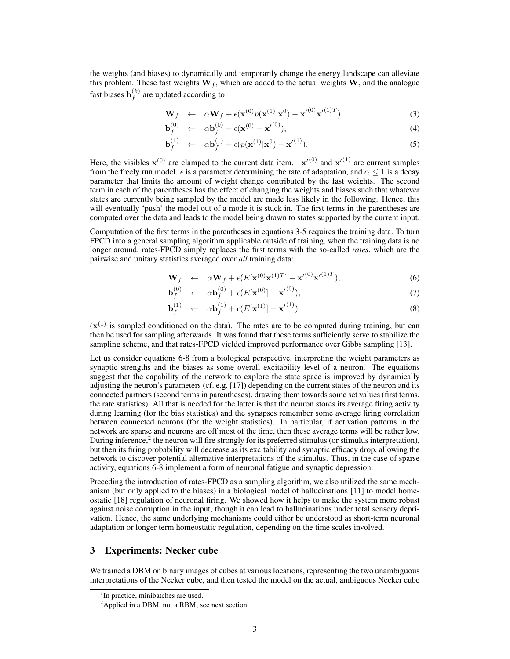the weights (and biases) to dynamically and temporarily change the energy landscape can alleviate this problem. These fast weights  $W_f$ , which are added to the actual weights W, and the analogue fast biases  $\mathbf{b}_f^{(k)}$  $f_f^{(k)}$  are updated according to

$$
\mathbf{W}_f \quad \leftarrow \quad \alpha \mathbf{W}_f + \epsilon (\mathbf{x}^{(0)} p(\mathbf{x}^{(1)} | \mathbf{x}^0) - {\mathbf{x}'}^{(0)} {\mathbf{x}'}^{(1)T}), \tag{3}
$$

$$
\mathbf{b}_f^{(0)} \quad \leftarrow \quad \alpha \mathbf{b}_f^{(0)} + \epsilon (\mathbf{x}^{(0)} - {\mathbf{x}'}^{(0)}), \tag{4}
$$

$$
\mathbf{b}_f^{(1)} \quad \leftarrow \quad \alpha \mathbf{b}_f^{(1)} + \epsilon (p(\mathbf{x}^{(1)}|\mathbf{x}^0) - {\mathbf{x}'}^{(1)}).
$$

Here, the visibles  $x^{(0)}$  are clamped to the current data item.<sup>1</sup>  $x'^{(0)}$  and  $x'^{(1)}$  are current samples from the freely run model.  $\epsilon$  is a parameter determining the rate of adaptation, and  $\alpha < 1$  is a decay parameter that limits the amount of weight change contributed by the fast weights. The second term in each of the parentheses has the effect of changing the weights and biases such that whatever states are currently being sampled by the model are made less likely in the following. Hence, this will eventually 'push' the model out of a mode it is stuck in. The first terms in the parentheses are computed over the data and leads to the model being drawn to states supported by the current input.

Computation of the first terms in the parentheses in equations 3-5 requires the training data. To turn FPCD into a general sampling algorithm applicable outside of training, when the training data is no longer around, rates-FPCD simply replaces the first terms with the so-called *rates*, which are the pairwise and unitary statistics averaged over *all* training data:

$$
\mathbf{W}_f \quad \leftarrow \quad \alpha \mathbf{W}_f + \epsilon \left( E[\mathbf{x}^{(0)} \mathbf{x}^{(1)T}] - \mathbf{x}'^{(0)} {\mathbf{x}'}^{(1)T} \right), \tag{6}
$$

$$
\mathbf{b}_f^{(0)} \quad \leftarrow \quad \alpha \mathbf{b}_f^{(0)} + \epsilon (E[\mathbf{x}^{(0)}] - {\mathbf{x}'}^{(0)}), \tag{7}
$$

$$
\mathbf{b}_f^{(1)} \leftarrow \alpha \mathbf{b}_f^{(1)} + \epsilon (E[\mathbf{x}^{(1)}] - {\mathbf{x}'}^{(1)}) \tag{8}
$$

 $(x<sup>(1)</sup>$  is sampled conditioned on the data). The rates are to be computed during training, but can then be used for sampling afterwards. It was found that these terms sufficiently serve to stabilize the sampling scheme, and that rates-FPCD yielded improved performance over Gibbs sampling [13].

Let us consider equations 6-8 from a biological perspective, interpreting the weight parameters as synaptic strengths and the biases as some overall excitability level of a neuron. The equations suggest that the capability of the network to explore the state space is improved by dynamically adjusting the neuron's parameters (cf. e.g. [17]) depending on the current states of the neuron and its connected partners (second terms in parentheses), drawing them towards some set values (first terms, the rate statistics). All that is needed for the latter is that the neuron stores its average firing activity during learning (for the bias statistics) and the synapses remember some average firing correlation between connected neurons (for the weight statistics). In particular, if activation patterns in the network are sparse and neurons are off most of the time, then these average terms will be rather low. During inference,<sup>2</sup> the neuron will fire strongly for its preferred stimulus (or stimulus interpretation), but then its firing probability will decrease as its excitability and synaptic efficacy drop, allowing the network to discover potential alternative interpretations of the stimulus. Thus, in the case of sparse activity, equations 6-8 implement a form of neuronal fatigue and synaptic depression.

Preceding the introduction of rates-FPCD as a sampling algorithm, we also utilized the same mechanism (but only applied to the biases) in a biological model of hallucinations [11] to model homeostatic [18] regulation of neuronal firing. We showed how it helps to make the system more robust against noise corruption in the input, though it can lead to hallucinations under total sensory deprivation. Hence, the same underlying mechanisms could either be understood as short-term neuronal adaptation or longer term homeostatic regulation, depending on the time scales involved.

# 3 Experiments: Necker cube

We trained a DBM on binary images of cubes at various locations, representing the two unambiguous interpretations of the Necker cube, and then tested the model on the actual, ambiguous Necker cube

<sup>&</sup>lt;sup>1</sup>In practice, minibatches are used.

<sup>&</sup>lt;sup>2</sup>Applied in a DBM, not a RBM; see next section.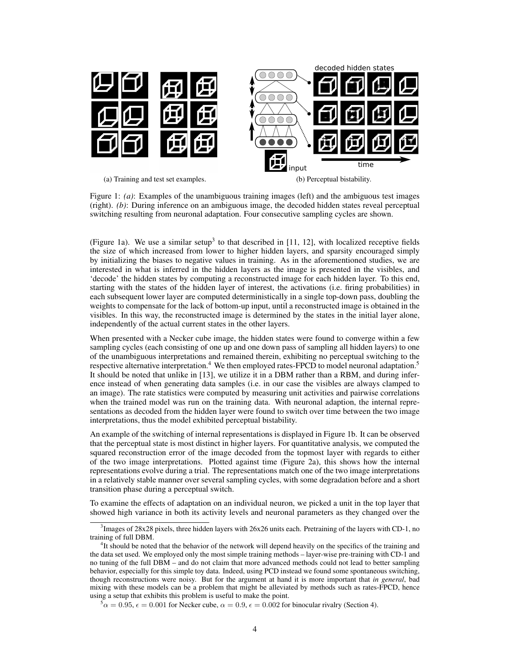

Figure 1: *(a)*: Examples of the unambiguous training images (left) and the ambiguous test images

(right). *(b)*: During inference on an ambiguous image, the decoded hidden states reveal perceptual switching resulting from neuronal adaptation. Four consecutive sampling cycles are shown.

(Figure 1a). We use a similar setup<sup>3</sup> to that described in [11, 12], with localized receptive fields the size of which increased from lower to higher hidden layers, and sparsity encouraged simply by initializing the biases to negative values in training. As in the aforementioned studies, we are interested in what is inferred in the hidden layers as the image is presented in the visibles, and 'decode' the hidden states by computing a reconstructed image for each hidden layer. To this end, starting with the states of the hidden layer of interest, the activations (i.e. firing probabilities) in each subsequent lower layer are computed deterministically in a single top-down pass, doubling the weights to compensate for the lack of bottom-up input, until a reconstructed image is obtained in the visibles. In this way, the reconstructed image is determined by the states in the initial layer alone, independently of the actual current states in the other layers.

When presented with a Necker cube image, the hidden states were found to converge within a few sampling cycles (each consisting of one up and one down pass of sampling all hidden layers) to one of the unambiguous interpretations and remained therein, exhibiting no perceptual switching to the respective alternative interpretation.<sup>4</sup> We then employed rates-FPCD to model neuronal adaptation.<sup>5</sup> It should be noted that unlike in [13], we utilize it in a DBM rather than a RBM, and during inference instead of when generating data samples (i.e. in our case the visibles are always clamped to an image). The rate statistics were computed by measuring unit activities and pairwise correlations when the trained model was run on the training data. With neuronal adaption, the internal representations as decoded from the hidden layer were found to switch over time between the two image interpretations, thus the model exhibited perceptual bistability.

An example of the switching of internal representations is displayed in Figure 1b. It can be observed that the perceptual state is most distinct in higher layers. For quantitative analysis, we computed the squared reconstruction error of the image decoded from the topmost layer with regards to either of the two image interpretations. Plotted against time (Figure 2a), this shows how the internal representations evolve during a trial. The representations match one of the two image interpretations in a relatively stable manner over several sampling cycles, with some degradation before and a short transition phase during a perceptual switch.

To examine the effects of adaptation on an individual neuron, we picked a unit in the top layer that showed high variance in both its activity levels and neuronal parameters as they changed over the

<sup>&</sup>lt;sup>3</sup>Images of 28x28 pixels, three hidden layers with 26x26 units each. Pretraining of the layers with CD-1, no training of full DBM.

<sup>&</sup>lt;sup>4</sup>It should be noted that the behavior of the network will depend heavily on the specifics of the training and the data set used. We employed only the most simple training methods – layer-wise pre-training with CD-1 and no tuning of the full DBM – and do not claim that more advanced methods could not lead to better sampling behavior, especially for this simple toy data. Indeed, using PCD instead we found some spontaneous switching, though reconstructions were noisy. But for the argument at hand it is more important that *in general*, bad mixing with these models can be a problem that might be alleviated by methods such as rates-FPCD, hence using a setup that exhibits this problem is useful to make the point.

 $5\alpha = 0.95$ ,  $\epsilon = 0.001$  for Necker cube,  $\alpha = 0.9$ ,  $\epsilon = 0.002$  for binocular rivalry (Section 4).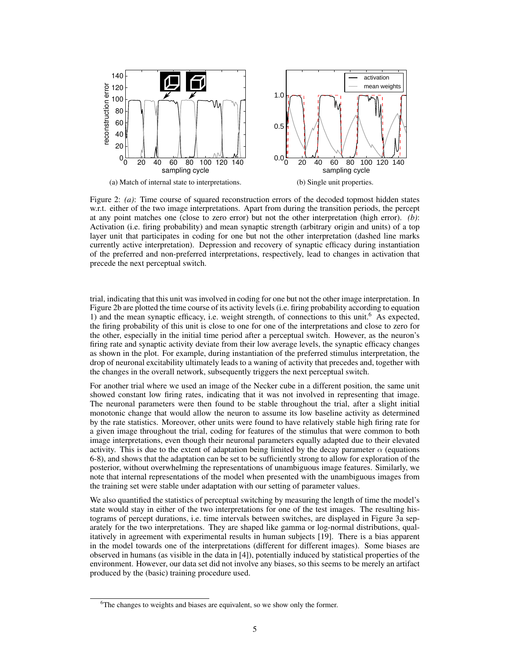

Figure 2: *(a)*: Time course of squared reconstruction errors of the decoded topmost hidden states w.r.t. either of the two image interpretations. Apart from during the transition periods, the percept at any point matches one (close to zero error) but not the other interpretation (high error). *(b)*: Activation (i.e. firing probability) and mean synaptic strength (arbitrary origin and units) of a top layer unit that participates in coding for one but not the other interpretation (dashed line marks currently active interpretation). Depression and recovery of synaptic efficacy during instantiation of the preferred and non-preferred interpretations, respectively, lead to changes in activation that precede the next perceptual switch.

trial, indicating that this unit was involved in coding for one but not the other image interpretation. In Figure 2b are plotted the time course of its activity levels (i.e. firing probability according to equation 1) and the mean synaptic efficacy, i.e. weight strength, of connections to this unit.<sup>6</sup> As expected, the firing probability of this unit is close to one for one of the interpretations and close to zero for the other, especially in the initial time period after a perceptual switch. However, as the neuron's firing rate and synaptic activity deviate from their low average levels, the synaptic efficacy changes as shown in the plot. For example, during instantiation of the preferred stimulus interpretation, the drop of neuronal excitability ultimately leads to a waning of activity that precedes and, together with the changes in the overall network, subsequently triggers the next perceptual switch.

For another trial where we used an image of the Necker cube in a different position, the same unit showed constant low firing rates, indicating that it was not involved in representing that image. The neuronal parameters were then found to be stable throughout the trial, after a slight initial monotonic change that would allow the neuron to assume its low baseline activity as determined by the rate statistics. Moreover, other units were found to have relatively stable high firing rate for a given image throughout the trial, coding for features of the stimulus that were common to both image interpretations, even though their neuronal parameters equally adapted due to their elevated activity. This is due to the extent of adaptation being limited by the decay parameter  $\alpha$  (equations 6-8), and shows that the adaptation can be set to be sufficiently strong to allow for exploration of the posterior, without overwhelming the representations of unambiguous image features. Similarly, we note that internal representations of the model when presented with the unambiguous images from the training set were stable under adaptation with our setting of parameter values.

We also quantified the statistics of perceptual switching by measuring the length of time the model's state would stay in either of the two interpretations for one of the test images. The resulting histograms of percept durations, i.e. time intervals between switches, are displayed in Figure 3a separately for the two interpretations. They are shaped like gamma or log-normal distributions, qualitatively in agreement with experimental results in human subjects [19]. There is a bias apparent in the model towards one of the interpretations (different for different images). Some biases are observed in humans (as visible in the data in [4]), potentially induced by statistical properties of the environment. However, our data set did not involve any biases, so this seems to be merely an artifact produced by the (basic) training procedure used.

<sup>&</sup>lt;sup>6</sup>The changes to weights and biases are equivalent, so we show only the former.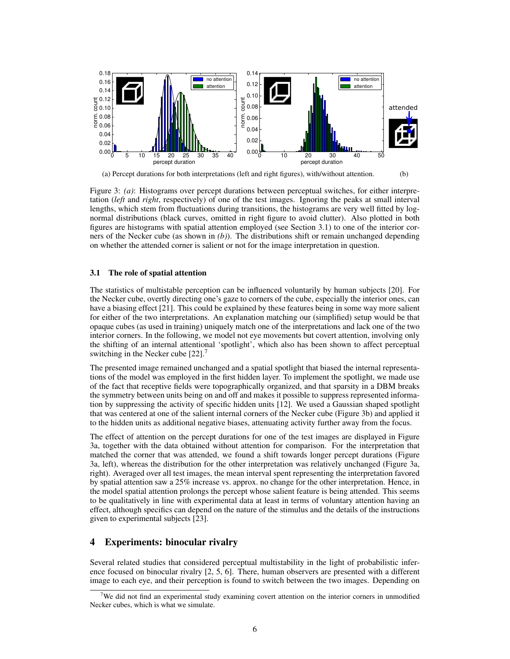

(a) Percept durations for both interpretations (left and right figures), with/without attention. (b)

Figure 3: *(a)*: Histograms over percept durations between perceptual switches, for either interpretation (*left* and *right*, respectively) of one of the test images. Ignoring the peaks at small interval lengths, which stem from fluctuations during transitions, the histograms are very well fitted by lognormal distributions (black curves, omitted in right figure to avoid clutter). Also plotted in both figures are histograms with spatial attention employed (see Section 3.1) to one of the interior corners of the Necker cube (as shown in *(b)*). The distributions shift or remain unchanged depending on whether the attended corner is salient or not for the image interpretation in question.

#### 3.1 The role of spatial attention

The statistics of multistable perception can be influenced voluntarily by human subjects [20]. For the Necker cube, overtly directing one's gaze to corners of the cube, especially the interior ones, can have a biasing effect [21]. This could be explained by these features being in some way more salient for either of the two interpretations. An explanation matching our (simplified) setup would be that opaque cubes (as used in training) uniquely match one of the interpretations and lack one of the two interior corners. In the following, we model not eye movements but covert attention, involving only the shifting of an internal attentional 'spotlight', which also has been shown to affect perceptual switching in the Necker cube [22].<sup>7</sup>

The presented image remained unchanged and a spatial spotlight that biased the internal representations of the model was employed in the first hidden layer. To implement the spotlight, we made use of the fact that receptive fields were topographically organized, and that sparsity in a DBM breaks the symmetry between units being on and off and makes it possible to suppress represented information by suppressing the activity of specific hidden units [12]. We used a Gaussian shaped spotlight that was centered at one of the salient internal corners of the Necker cube (Figure 3b) and applied it to the hidden units as additional negative biases, attenuating activity further away from the focus.

The effect of attention on the percept durations for one of the test images are displayed in Figure 3a, together with the data obtained without attention for comparison. For the interpretation that matched the corner that was attended, we found a shift towards longer percept durations (Figure 3a, left), whereas the distribution for the other interpretation was relatively unchanged (Figure 3a, right). Averaged over all test images, the mean interval spent representing the interpretation favored by spatial attention saw a 25% increase vs. approx. no change for the other interpretation. Hence, in the model spatial attention prolongs the percept whose salient feature is being attended. This seems to be qualitatively in line with experimental data at least in terms of voluntary attention having an effect, although specifics can depend on the nature of the stimulus and the details of the instructions given to experimental subjects [23].

# 4 Experiments: binocular rivalry

Several related studies that considered perceptual multistability in the light of probabilistic inference focused on binocular rivalry [2, 5, 6]. There, human observers are presented with a different image to each eye, and their perception is found to switch between the two images. Depending on

 $7$ We did not find an experimental study examining covert attention on the interior corners in unmodified Necker cubes, which is what we simulate.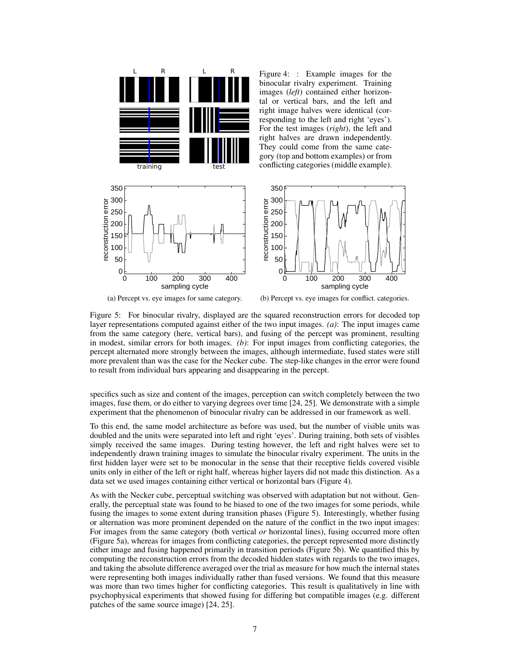



(b) Percept vs. eye images for conflict. categories.

Figure 5: For binocular rivalry, displayed are the squared reconstruction errors for decoded top layer representations computed against either of the two input images. *(a)*: The input images came from the same category (here, vertical bars), and fusing of the percept was prominent, resulting in modest, similar errors for both images. *(b)*: For input images from conflicting categories, the percept alternated more strongly between the images, although intermediate, fused states were still more prevalent than was the case for the Necker cube. The step-like changes in the error were found to result from individual bars appearing and disappearing in the percept.

specifics such as size and content of the images, perception can switch completely between the two images, fuse them, or do either to varying degrees over time [24, 25]. We demonstrate with a simple experiment that the phenomenon of binocular rivalry can be addressed in our framework as well.

To this end, the same model architecture as before was used, but the number of visible units was doubled and the units were separated into left and right 'eyes'. During training, both sets of visibles simply received the same images. During testing however, the left and right halves were set to independently drawn training images to simulate the binocular rivalry experiment. The units in the first hidden layer were set to be monocular in the sense that their receptive fields covered visible units only in either of the left or right half, whereas higher layers did not made this distinction. As a data set we used images containing either vertical or horizontal bars (Figure 4).

As with the Necker cube, perceptual switching was observed with adaptation but not without. Generally, the perceptual state was found to be biased to one of the two images for some periods, while fusing the images to some extent during transition phases (Figure 5). Interestingly, whether fusing or alternation was more prominent depended on the nature of the conflict in the two input images: For images from the same category (both vertical *or* horizontal lines), fusing occurred more often (Figure 5a), whereas for images from conflicting categories, the percept represented more distinctly either image and fusing happened primarily in transition periods (Figure 5b). We quantified this by computing the reconstruction errors from the decoded hidden states with regards to the two images, and taking the absolute difference averaged over the trial as measure for how much the internal states were representing both images individually rather than fused versions. We found that this measure was more than two times higher for conflicting categories. This result is qualitatively in line with psychophysical experiments that showed fusing for differing but compatible images (e.g. different patches of the same source image) [24, 25].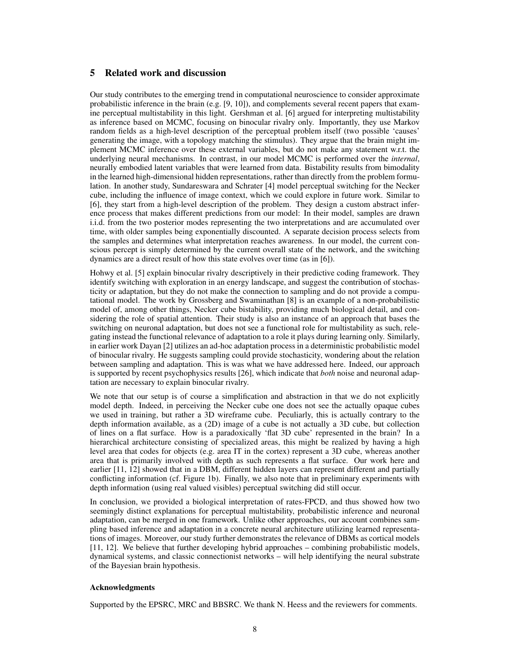# 5 Related work and discussion

Our study contributes to the emerging trend in computational neuroscience to consider approximate probabilistic inference in the brain (e.g. [9, 10]), and complements several recent papers that examine perceptual multistability in this light. Gershman et al. [6] argued for interpreting multistability as inference based on MCMC, focusing on binocular rivalry only. Importantly, they use Markov random fields as a high-level description of the perceptual problem itself (two possible 'causes' generating the image, with a topology matching the stimulus). They argue that the brain might implement MCMC inference over these external variables, but do not make any statement w.r.t. the underlying neural mechanisms. In contrast, in our model MCMC is performed over the *internal*, neurally embodied latent variables that were learned from data. Bistability results from bimodality in the learned high-dimensional hidden representations, rather than directly from the problem formulation. In another study, Sundareswara and Schrater [4] model perceptual switching for the Necker cube, including the influence of image context, which we could explore in future work. Similar to [6], they start from a high-level description of the problem. They design a custom abstract inference process that makes different predictions from our model: In their model, samples are drawn i.i.d. from the two posterior modes representing the two interpretations and are accumulated over time, with older samples being exponentially discounted. A separate decision process selects from the samples and determines what interpretation reaches awareness. In our model, the current conscious percept is simply determined by the current overall state of the network, and the switching dynamics are a direct result of how this state evolves over time (as in [6]).

Hohwy et al. [5] explain binocular rivalry descriptively in their predictive coding framework. They identify switching with exploration in an energy landscape, and suggest the contribution of stochasticity or adaptation, but they do not make the connection to sampling and do not provide a computational model. The work by Grossberg and Swaminathan [8] is an example of a non-probabilistic model of, among other things, Necker cube bistability, providing much biological detail, and considering the role of spatial attention. Their study is also an instance of an approach that bases the switching on neuronal adaptation, but does not see a functional role for multistability as such, relegating instead the functional relevance of adaptation to a role it plays during learning only. Similarly, in earlier work Dayan [2] utilizes an ad-hoc adaptation process in a deterministic probabilistic model of binocular rivalry. He suggests sampling could provide stochasticity, wondering about the relation between sampling and adaptation. This is was what we have addressed here. Indeed, our approach is supported by recent psychophysics results [26], which indicate that *both* noise and neuronal adaptation are necessary to explain binocular rivalry.

We note that our setup is of course a simplification and abstraction in that we do not explicitly model depth. Indeed, in perceiving the Necker cube one does not see the actually opaque cubes we used in training, but rather a 3D wireframe cube. Peculiarly, this is actually contrary to the depth information available, as a (2D) image of a cube is not actually a 3D cube, but collection of lines on a flat surface. How is a paradoxically 'flat 3D cube' represented in the brain? In a hierarchical architecture consisting of specialized areas, this might be realized by having a high level area that codes for objects (e.g. area IT in the cortex) represent a 3D cube, whereas another area that is primarily involved with depth as such represents a flat surface. Our work here and earlier [11, 12] showed that in a DBM, different hidden layers can represent different and partially conflicting information (cf. Figure 1b). Finally, we also note that in preliminary experiments with depth information (using real valued visibles) perceptual switching did still occur.

In conclusion, we provided a biological interpretation of rates-FPCD, and thus showed how two seemingly distinct explanations for perceptual multistability, probabilistic inference and neuronal adaptation, can be merged in one framework. Unlike other approaches, our account combines sampling based inference and adaptation in a concrete neural architecture utilizing learned representations of images. Moreover, our study further demonstrates the relevance of DBMs as cortical models [11, 12]. We believe that further developing hybrid approaches – combining probabilistic models, dynamical systems, and classic connectionist networks – will help identifying the neural substrate of the Bayesian brain hypothesis.

#### Acknowledgments

Supported by the EPSRC, MRC and BBSRC. We thank N. Heess and the reviewers for comments.